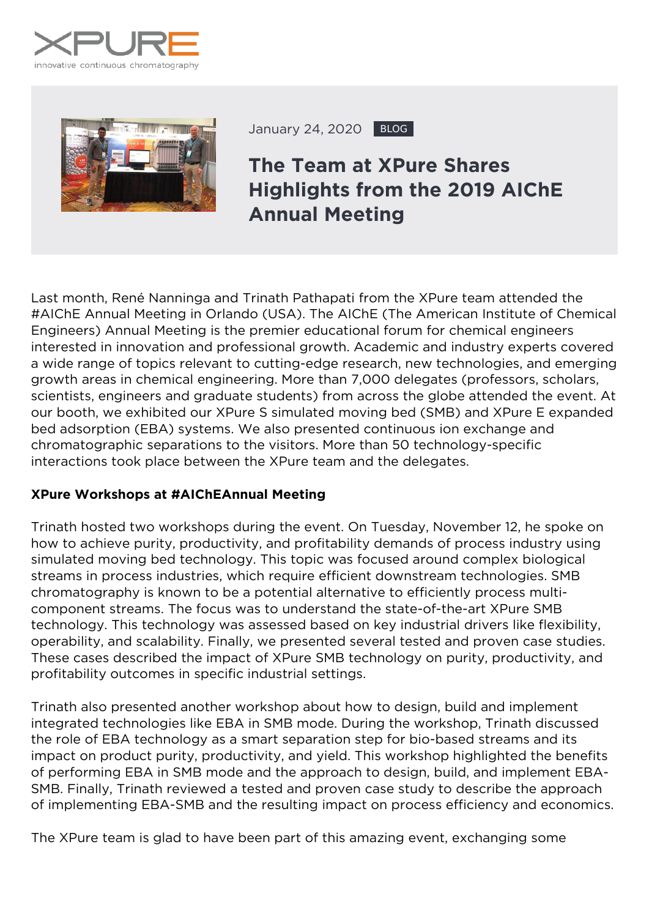



January 24, 2020 BLOG

## **The Team at XPure Shares Highlights from the 2019 AIChE Annual Meeting**

Last month, René Nanninga and Trinath Pathapati from the XPure team attended the #AIChE Annual Meeting in Orlando (USA). The AIChE (The American Institute of Chemical Engineers) Annual Meeting is the premier educational forum for chemical engineers interested in innovation and professional growth. Academic and industry experts covered a wide range of topics relevant to cutting-edge research, new technologies, and emerging growth areas in chemical engineering. More than 7,000 delegates (professors, scholars, scientists, engineers and graduate students) from across the globe attended the event. At our booth, we exhibited our XPure S simulated moving bed (SMB) and XPure E expanded bed adsorption (EBA) systems. We also presented continuous ion exchange and chromatographic separations to the visitors. More than 50 technology-specific interactions took place between the XPure team and the delegates.

## **XPure Workshops at #AIChEAnnual Meeting**

Trinath hosted two workshops during the event. On Tuesday, November 12, he spoke on how to achieve purity, productivity, and profitability demands of process industry using simulated moving bed technology. This topic was focused around complex biological streams in process industries, which require efficient downstream technologies. SMB chromatography is known to be a potential alternative to efficiently process multicomponent streams. The focus was to understand the state-of-the-art XPure SMB technology. This technology was assessed based on key industrial drivers like flexibility, operability, and scalability. Finally, we presented several tested and proven case studies. These cases described the impact of XPure SMB technology on purity, productivity, and profitability outcomes in specific industrial settings.

Trinath also presented another workshop about how to design, build and implement integrated technologies like EBA in SMB mode. During the workshop, Trinath discussed the role of EBA technology as a smart separation step for bio-based streams and its impact on product purity, productivity, and yield. This workshop highlighted the benefits of performing EBA in SMB mode and the approach to design, build, and implement EBA-SMB. Finally, Trinath reviewed a tested and proven case study to describe the approach of implementing EBA-SMB and the resulting impact on process efficiency and economics.

The XPure team is glad to have been part of this amazing event, exchanging some